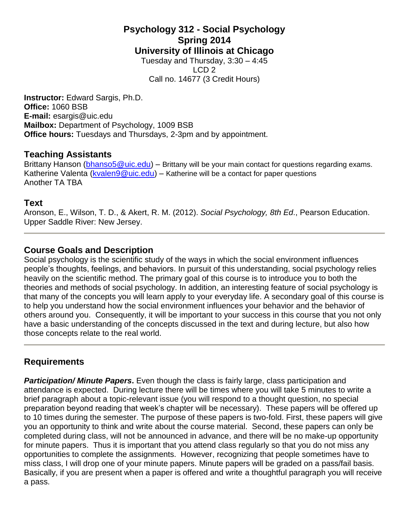## **Psychology 312 - Social Psychology Spring 2014 University of Illinois at Chicago** Tuesday and Thursday,  $3:30 - 4:45$

LCD 2 Call no. 14677 (3 Credit Hours)

**Instructor:** Edward Sargis, Ph.D. **Office:** 1060 BSB **E-mail:** [esargis@uic.edu](mailto:esargis@uic.edu) **Mailbox:** Department of Psychology, 1009 BSB **Office hours:** Tuesdays and Thursdays, 2-3pm and by appointment.

### **Teaching Assistants**

Brittany Hanson [\(bhanso5@uic.edu\)](mailto:bhanso5@uic.edu) – Brittany will be your main contact for questions regarding exams. Katherine Valenta [\(kvalen9@uic.edu\)](mailto:kvalen9@uic.edu) – Katherine will be a contact for paper questions Another TA TBA

## **Text**

Aronson, E., Wilson, T. D., & Akert, R. M. (2012). *Social Psychology, 8th Ed*., Pearson Education. Upper Saddle River: New Jersey.

# **Course Goals and Description**

Social psychology is the scientific study of the ways in which the social environment influences people's thoughts, feelings, and behaviors. In pursuit of this understanding, social psychology relies heavily on the scientific method. The primary goal of this course is to introduce you to both the theories and methods of social psychology. In addition, an interesting feature of social psychology is that many of the concepts you will learn apply to your everyday life. A secondary goal of this course is to help you understand how the social environment influences your behavior and the behavior of others around you. Consequently, it will be important to your success in this course that you not only have a basic understanding of the concepts discussed in the text and during lecture, but also how those concepts relate to the real world.

# **Requirements**

*Participation/ Minute Papers***.** Even though the class is fairly large, class participation and attendance is expected. During lecture there will be times where you will take 5 minutes to write a brief paragraph about a topic-relevant issue (you will respond to a thought question, no special preparation beyond reading that week's chapter will be necessary). These papers will be offered up to 10 times during the semester. The purpose of these papers is two-fold. First, these papers will give you an opportunity to think and write about the course material. Second, these papers can only be completed during class, will not be announced in advance, and there will be no make-up opportunity for minute papers. Thus it is important that you attend class regularly so that you do not miss any opportunities to complete the assignments. However, recognizing that people sometimes have to miss class, I will drop one of your minute papers. Minute papers will be graded on a pass/fail basis. Basically, if you are present when a paper is offered and write a thoughtful paragraph you will receive a pass.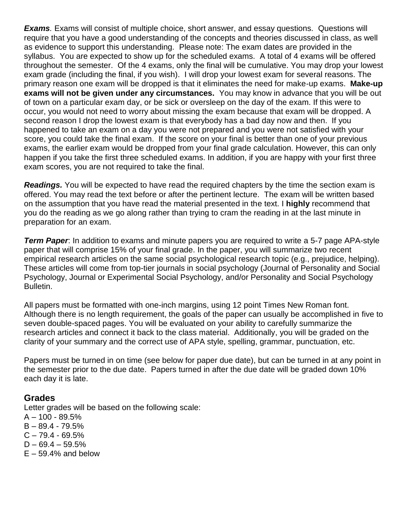*Exams.* Exams will consist of multiple choice, short answer, and essay questions. Questions will require that you have a good understanding of the concepts and theories discussed in class, as well as evidence to support this understanding. Please note: The exam dates are provided in the syllabus. You are expected to show up for the scheduled exams. A total of 4 exams will be offered throughout the semester. Of the 4 exams, only the final will be cumulative. You may drop your lowest exam grade (including the final, if you wish). I will drop your lowest exam for several reasons. The primary reason one exam will be dropped is that it eliminates the need for make-up exams. **Make-up exams will not be given under any circumstances.** You may know in advance that you will be out of town on a particular exam day, or be sick or oversleep on the day of the exam. If this were to occur, you would not need to worry about missing the exam because that exam will be dropped. A second reason I drop the lowest exam is that everybody has a bad day now and then. If you happened to take an exam on a day you were not prepared and you were not satisfied with your score, you could take the final exam. If the score on your final is better than one of your previous exams, the earlier exam would be dropped from your final grade calculation. However, this can only happen if you take the first three scheduled exams. In addition, if you are happy with your first three exam scores, you are not required to take the final.

*Readings.* You will be expected to have read the required chapters by the time the section exam is offered. You may read the text before or after the pertinent lecture. The exam will be written based on the assumption that you have read the material presented in the text. I **highly** recommend that you do the reading as we go along rather than trying to cram the reading in at the last minute in preparation for an exam.

*Term Paper*: In addition to exams and minute papers you are required to write a 5-7 page APA-style paper that will comprise 15% of your final grade. In the paper, you will summarize two recent empirical research articles on the same social psychological research topic (e.g., prejudice, helping). These articles will come from top-tier journals in social psychology (Journal of Personality and Social Psychology, Journal or Experimental Social Psychology, and/or Personality and Social Psychology Bulletin.

All papers must be formatted with one-inch margins, using 12 point Times New Roman font. Although there is no length requirement, the goals of the paper can usually be accomplished in five to seven double-spaced pages. You will be evaluated on your ability to carefully summarize the research articles and connect it back to the class material. Additionally, you will be graded on the clarity of your summary and the correct use of APA style, spelling, grammar, punctuation, etc.

Papers must be turned in on time (see below for paper due date), but can be turned in at any point in the semester prior to the due date. Papers turned in after the due date will be graded down 10% each day it is late.

### **Grades**

Letter grades will be based on the following scale: A – 100 - 89.5%  $B - 89.4 - 79.5%$  $C - 79.4 - 69.5%$ 

- $D 69.4 59.5%$
- $E 59.4\%$  and below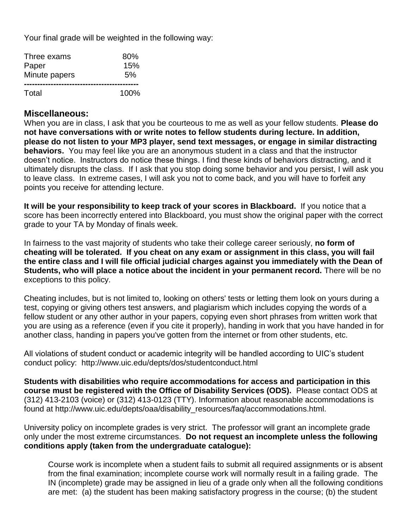Your final grade will be weighted in the following way:

| Three exams   | 80%     |
|---------------|---------|
| Paper         | 15%     |
| Minute papers | 5%      |
| Total         | $100\%$ |

### **Miscellaneous:**

When you are in class, I ask that you be courteous to me as well as your fellow students. **Please do not have conversations with or write notes to fellow students during lecture. In addition, please do not listen to your MP3 player, send text messages, or engage in similar distracting behaviors.** You may feel like you are an anonymous student in a class and that the instructor doesn't notice. Instructors do notice these things. I find these kinds of behaviors distracting, and it ultimately disrupts the class. If I ask that you stop doing some behavior and you persist, I will ask you to leave class. In extreme cases, I will ask you not to come back, and you will have to forfeit any points you receive for attending lecture.

**It will be your responsibility to keep track of your scores in Blackboard.** If you notice that a score has been incorrectly entered into Blackboard, you must show the original paper with the correct grade to your TA by Monday of finals week.

In fairness to the vast majority of students who take their college career seriously, **no form of cheating will be tolerated. If you cheat on any exam or assignment in this class, you will fail the entire class and I will file official judicial charges against you immediately with the Dean of Students, who will place a notice about the incident in your permanent record.** There will be no exceptions to this policy.

Cheating includes, but is not limited to, looking on others' tests or letting them look on yours during a test, copying or giving others test answers, and plagiarism which includes copying the words of a fellow student or any other author in your papers, copying even short phrases from written work that you are using as a reference (even if you cite it properly), handing in work that you have handed in for another class, handing in papers you've gotten from the internet or from other students, etc.

All violations of student conduct or academic integrity will be handled according to UIC's student conduct policy: <http://www.uic.edu/depts/dos/studentconduct.html>

**Students with disabilities who require accommodations for access and participation in this course must be registered with the Office of Disability Services (ODS).** Please contact ODS at (312) 413-2103 (voice) or (312) 413-0123 (TTY). Information about reasonable accommodations is found at http://www.uic.edu/depts/oaa/disability\_resources/faq/accommodations.html.

University policy on incomplete grades is very strict. The professor will grant an incomplete grade only under the most extreme circumstances. **Do not request an incomplete unless the following conditions apply (taken from the undergraduate catalogue):**

Course work is incomplete when a student fails to submit all required assignments or is absent from the final examination; incomplete course work will normally result in a failing grade. The IN (incomplete) grade may be assigned in lieu of a grade only when all the following conditions are met: (a) the student has been making satisfactory progress in the course; (b) the student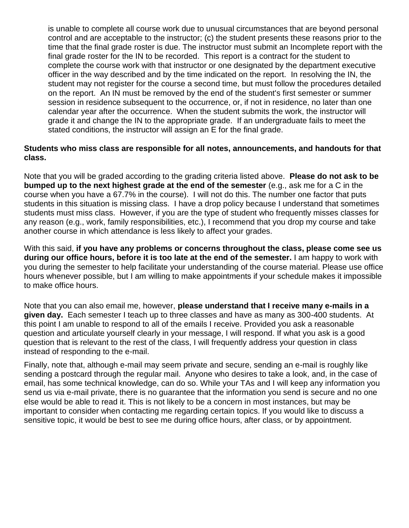is unable to complete all course work due to unusual circumstances that are beyond personal control and are acceptable to the instructor; (c) the student presents these reasons prior to the time that the final grade roster is due. The instructor must submit an Incomplete report with the final grade roster for the IN to be recorded. This report is a contract for the student to complete the course work with that instructor or one designated by the department executive officer in the way described and by the time indicated on the report. In resolving the IN, the student may not register for the course a second time, but must follow the procedures detailed on the report. An IN must be removed by the end of the student's first semester or summer session in residence subsequent to the occurrence, or, if not in residence, no later than one calendar year after the occurrence. When the student submits the work, the instructor will grade it and change the IN to the appropriate grade. If an undergraduate fails to meet the stated conditions, the instructor will assign an E for the final grade.

### **Students who miss class are responsible for all notes, announcements, and handouts for that class.**

Note that you will be graded according to the grading criteria listed above. **Please do not ask to be bumped up to the next highest grade at the end of the semester** (e.g., ask me for a C in the course when you have a 67.7% in the course). I will not do this. The number one factor that puts students in this situation is missing class. I have a drop policy because I understand that sometimes students must miss class. However, if you are the type of student who frequently misses classes for any reason (e.g., work, family responsibilities, etc.), I recommend that you drop my course and take another course in which attendance is less likely to affect your grades.

With this said, **if you have any problems or concerns throughout the class, please come see us during our office hours, before it is too late at the end of the semester.** I am happy to work with you during the semester to help facilitate your understanding of the course material. Please use office hours whenever possible, but I am willing to make appointments if your schedule makes it impossible to make office hours.

Note that you can also email me, however, **please understand that I receive many e-mails in a given day.** Each semester I teach up to three classes and have as many as 300-400 students. At this point I am unable to respond to all of the emails I receive. Provided you ask a reasonable question and articulate yourself clearly in your message, I will respond. If what you ask is a good question that is relevant to the rest of the class, I will frequently address your question in class instead of responding to the e-mail.

Finally, note that, although e-mail may seem private and secure, sending an e-mail is roughly like sending a postcard through the regular mail. Anyone who desires to take a look, and, in the case of email, has some technical knowledge, can do so. While your TAs and I will keep any information you send us via e-mail private, there is no guarantee that the information you send is secure and no one else would be able to read it. This is not likely to be a concern in most instances, but may be important to consider when contacting me regarding certain topics. If you would like to discuss a sensitive topic, it would be best to see me during office hours, after class, or by appointment.